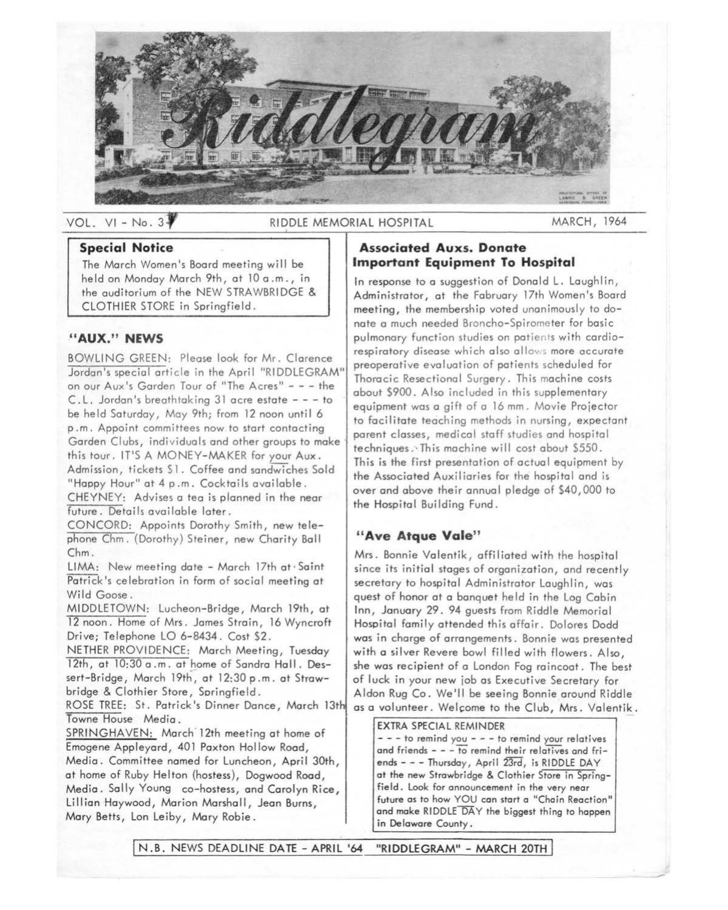

# VOL. VI - No. 3<sup>7</sup> RIDDLE MEMORIAL HOSPITAL MARCH, 1964

#### **Special Notice**

The March Women's Board meeting will be held on Monday March 9th, at 10 a .m., in the auditorium of the NEW STRAWBRIDGE & CLOTHIER STORE in Springfield.

### **"AUX." NEWS**

BOWLING GREEN: Please look for Mr. Clarence Jordan's special article in the April "RIDDLEGRAM" on our Aux's Garden Tour of "The Acres" - - - the C.L. Jordan's breathtaking 31 acre estate - - - to be held Saturday, May 9th; from 12 noon until 6 p .m. Appoint committees now to start contacting Garden Clubs, individuals and other groups to make· this tour. IT'S A MONEY-MAKER for your **Aux.**  Admission, tickets \$1. Coffee and sandwiches Sold "Happy Hour" at 4 p.m. Cocktails available.

CHEYNEY: Advises a tea is planned in the near future. Details available later.

CONCORD: Appoints Dorothy Smith, new telephone Chm. (Dorothy) Steiner, new Charity Ball Chm.

LIMA: New meeting date - March 17th at· Saint Patrick's celebration in form of social meeting at Wild Goose.

MIDDLETOWN: Lucheon-Bridge, March 19th, at 12 noon. Home of Mrs. James Strain, 16 Wyncroft Drive; Telephone LO 6-8434. Cost \$2.

NETHER PROVIDENCE: March Meeting, Tuesday 12th, at 10:30 a.m. at home of Sandra Hall. Dessert-Bridge, March 19th, at 12:30 p.m. at Strawbridge & Clothier Store, Springfield.

ROSE TREE: St. Patrick's Dinner Dance, March 13th Towne House Media.

SPRINGHAVEN: March<sup>-</sup>12th meeting at home of Emogene Appleyard, 401 Paxton Hollow Road, Media. Committee named for Luncheon, April 30th, at home of Ruby Helton (hostess), Dogwood Road, Media, Sally Young co-hostess, and Carolyn Rice, Lillian Haywood, Marion Marshall, Jean Burns, Mary Betts, Lon Leiby, Mary Robie.

# **Associated Auxs. Donate Important Equipment To Hospital**

In response to a suggestion of Donald L. Laughlin, Administrator, at the February 17th Women's Board meeting, the membership voted unanimously to donate a much needed Broncho-Spirometer for basic pulmonary function studies on patients with cardiorespiratory disease which also allows more accurate preoperative evaluation of patients scheduled for Thoracic Resectional Surgery. This machine costs about \$900. Also included in this supplementary equipment was a gift of a 16 mm. Movie Projector to facilitate teaching methods in nursing, expectant parent classes, medical staff studies and hospital techniques:·This machine will cost about \$550. This is the first presentation of actual equipment by the Associated Auxiliaries for the hospital and is over and above their annual pledge of \$40,000 to the Hospital Building Fund.

# **"Ave Atque Vale"**

Mrs. Bonnie Valentik, affiliated with the hospital since its initial stages of organization, and recently secretary to hospital Administrator Laughlin, was quest of honor at a banquet held in the Log Cabin Inn, January 29. 94 guests from Riddle Memorial Hospital family attended this affair. Dolores Dodd was in charge of arrangements. Bonnie was presented with a silver Revere bowl filled with flowers. Also, she was recipient of a London Fog raincoat. The best of luck in your new job as Executive Secretary for Aldon Rug Co. We'll be seeing Bonnie around Riddle as a volunteer. Welcome to the Club, Mrs. Valentik.

EXTRA SPECIAL REMINDER - - - to remind you - - - to remind your relatives and friends - - - to remind their relatives and friends - - - Thursday, April 23rd, is RIDDLE DAY at the new Strowbridge & Clothier Store in Springfield. Look for announcement in the very near future as to how YOU can start o "Chain Reaction" and make RIDDLE DAY the biggest thing to happen in Delaware County.

N.B. NEWS DEADLINE DATE - APRIL '64 "RIDDLEGRAM" - MARCH 20TH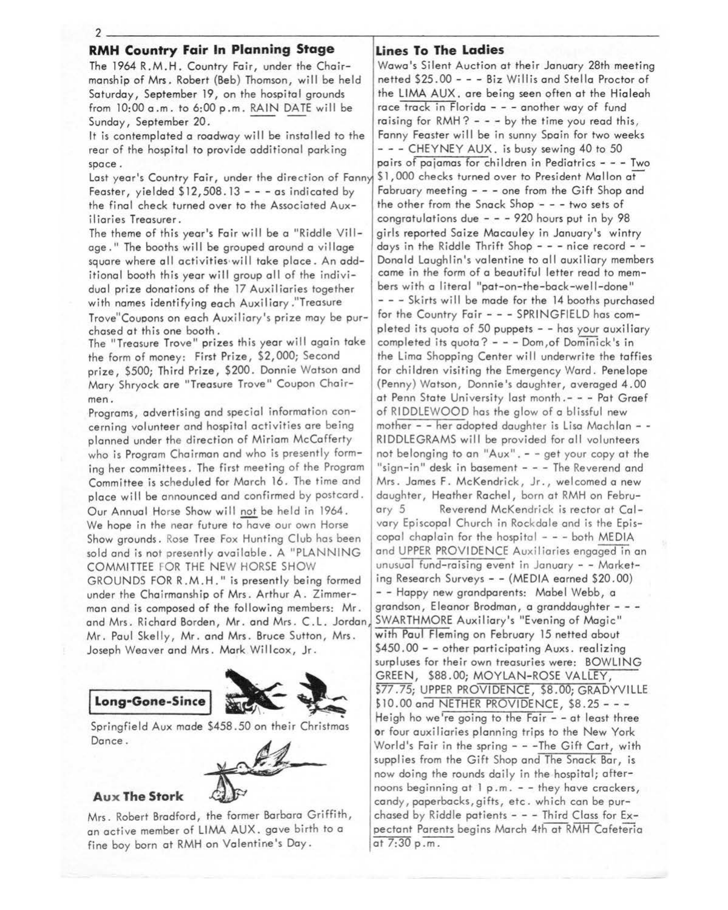2--------------------~--------------------

# **RMH Country Fair In Planning Stage**

The 1964 R.M.H. Country Fair, under the Chairmanship of Mrs. Robert (Beb) Thomson, will be held Saturday, September 19, on the hospital grounds from 10:00 a .m. to 6:00 p .m. RAIN DATE wil I be Sunday, September 20.

It is contemplated a roadway will be installed to the rear of the hospital to provide additional parking space.

Last year's Country Fair, under the direction of Fanny Feaster, yielded  $$12,508.13 - -$  - as indicated by the final check turned over to the Associated Auxiliaries Treasurer.

The theme of this year's Fair will be a "Riddle Village." The booths will be grouped around a village square where all activities will take place. An additional booth this year will group all of the individual prize donations of the 17 Auxiliaries together with names identifying each Auxiliary ."Treasure

Trove"Couoons on each Auxiliary's prize moy be purchased at this one booth.

The "Treasure Trove" prizes this year will again take the form of money: First Prize, \$2,000; Second prize, \$500; Third Prize, \$200. Donnie Watson and Mary Shryock are "Treasure Trove" Coupon Chairmen.

Programs, advertising and special information concerning volunteer and hospital activities are being planned under the direction of Miriam McCafferty who is Program Chairman and who is presently forming her committees. The first meeting of the Program Committee is scheduled for March 16. The time and place will be announced and confirmed by postcard. Our Annual Horse Show will not be held in 1964. We hope in the near future to have our own Horse Show grounds. Rose Tree Fox Hunting Club has been sold and is not presently available. A "PLANNING COMMITTEE FOR THE NEW HORSE SHOW

GROUNDS FOR R.M.H." is presently being formed under the Chairmanship of Mrs. Arthur A. Zimmerman and is composed of the following members: Mr. and Mrs. Richard Borden, Mr. and Mrs. C.L. Jordan Mr. Paul Skelly, Mr. and Mrs. Bruce Sutton, Mrs. Joseph Weaver and Mrs. Mark Willcox, Jr.



Springfield Aux made \$458 .50 on their Christmas Dance.



#### **Aux The Stork**

Mrs. Robert Bradford, the former Barbara Griffith, an active member of LIMA AUX. gave birth to a fine boy born at RMH on Valentine's Day.

# **Lines To The Ladies**

Wawa's Silent Auction at their January 28th meeting netted \$25.00 - - - Biz Willis and Stella Proctor of the LIMA AUX. are being seen often at the Hialeah race track in Florida - - - another way of fund raising for  $RMH$ ? - - - by the time you read this, Fanny Feaster will be in sunny Spain for two weeks - - - CHEYNEY AUX. is busy sewing 40 to 50 pairs of pajamas for children in Pediatrics - - - Two \$1,000 checks turned over to President Mallon at February meeting - - - one from the Gift Shop and the other from the Snack Shop - - - two sets of congratulations due  $- - 920$  hours put in by  $98$ girls reported Saize Macauley in January's wintry days in the Riddle Thrift Shop  $- -$  - nice record  $- -$ Donald Laughlin's valentine to all auxiliary members came in the form of a beautiful letter read to members with a literal "pat-on-the-back-well-done" - - - Skirts will be made for the 14 booths purchased for the Country Fair - - - SPRINGFIELD has completed its quota of 50 puppets - - has your auxiliary completed its quota? - - - Dom,of Dominick's in the Lima Shopping Center will underwrite the taffies for children visiting the Emergency Ward. Penelope (Penny) Watson, Donnie's daughter, averaged 4.00 at Penn State University last month.- - - Pat Graef of RIDDLEWOOD has the glow of a blissful new mother - - her adopted daughter is Lisa Machlan - -RIDDLEGRAMS will be provided for all volunteers not belonging to an "Aux". - - get your copy at the "sign-in" desk in basement - - - The Reverend and Mrs. James F. McKendrick, Jr., welcomed a new daughter, Heather Rachel, born at RMH on February 5 Reverend McKendrick is rector at Calvary Episcopal Church in Rockdale and is the Episcopal chaplain for the hospital  $- -$  both MEDIA and UPPER PROVIDENCE Auxiliaries engaged in an unusual fund-raising event in January - - Marketing Research Surveys - - (MEDIA earned \$20.00) - - Happy new grandparents: Mabel Webb, a grandson, Eleanor Brodman, a granddaughter - - -SWARTHMORE Auxiliary's "Evening of Magic" with Paul Fleming on February 15 netted about \$450.00 - - other participating Auxs. realizing surpluses for their own treasuries were: BOWLING GREEN, \$88.00; MOYLAN-ROSE VALLEY, \$77.75; UPPER PROVIDENCE, \$8.00; GRADYVILLE \$10.00 and NETHER PROVIDENCE, \$8.25 - - -Heigh ho we're going to the Fair  $-$  - at least three or four auxiliaries planning trips to the New York World's Fair in the spring - - -The Gift Cart, with supplies from the Gift Shop and The Snack Bar, is now doing the rounds daily in the hospital; afternoons beginning at 1 p.m. - - they have crackers, candy, paperbacks, gifts, etc . which can be purchased by Riddle patients  $- -$  - Third Class for Expectant Parents begins March 4th at RMH Cafeteria at  $7:30 p.m.$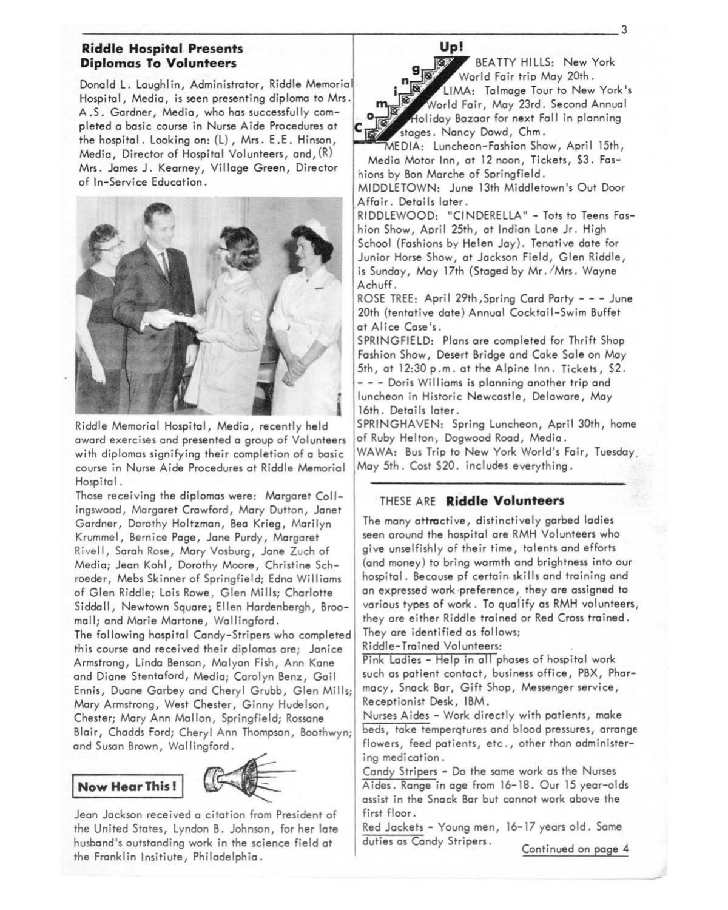# -------------------r-----------------3 **Riddle Hospital Presents Diplomas To Volunteers**

Donald L. Laughlin, Administrator, Riddle Memorial Hospital, Media, is seen presenting diploma to Mrs. A.S. Gardner, Media, who has successfully completed a basic course in Nurse Aide Procedures at the hospital. Looking on: {L), Mrs. E .E. Hinson, Media, Director of Hospital Volunteers, and, (R) Mrs. James J. Kearney, Village Green, Director of In-Service Education.



Riddle Memorial Hospital, Media, recently held award exercises and presented a group of Volunteers with diplomas signifying their completion of a basic course in Nurse Aide Procedures at Riddle Memorial Hospital.

Those receiving the diplomas were: Margaret Collingswood, Margaret Crawford, Mary Dutton, Janet Gardner, Dorothy Holtzman, Bea Krieg, Marilyn Krummel, Bernice Page, Jane Purdy, Margaret Rivell, Sarah Rose, Mary Vosburg, Jane Zuch of Media; Jean Kohl, Dorothy Moore, Christine Schroeder, Mebs Skinner of Springfield; Edna Williams of Glen Riddle; Lois Rowe, Glen Mills; Charlotte Siddall, Newtown Square; Ellen Hardenbergh, Broomell; and Marie Martone, Wallingford.

The following hospital Candy-Stripers who completed this course and received their diplomas are; Janice Armstrong, Linda Benson, Malyon Fish, Ann Kone and Diane Stentoford, Media; Carolyn Benz, Gail Ennis, Duane Garbey and Cheryl Grubb, Glen Mills; Mary Armstrong, West Chester, Ginny Hudelson, Chester; Mary Ann Mallon, Springfield; Rossane



Jean Jackson received a citation from President of the United States, Lyndon B. Johnson, for her late husband's outstanding work in the science field at the Franklin lnsitiute, Philadelphia.

# **Up!**

 $E$ BEA TTY HILLS: New York **g World Fair trip May 20th.** 

LIMA: Talmage Tour to New York's World Fair, May 23rd. Second Annual Holiday Bazaar for next Fall in planning stages. Nancy Dowd, Chm.

EDIA: Luncheon-Fashion Show, April 15th, Media Motor Inn, at 12 noon, Tickets, \$3. Fashions by Bon Marche of Springfield.

MIDDLETOWN: June 13th Middletown's Out Door \_Affair. Details later.

RIDDLEWOOD: "CINDERELLA" - Tots to Teens Fashion Show, April 25th, at Indian Lone Jr. High School (Fashions by Helen Jay). Tenative date for Junior Horse Show, at Jackson Field, Glen Riddle, is Sunday, May 17th (Staged by Mr. /Mrs. Wayne A chuff.

ROSE TREE: April 29th, Spring Card Party - - - June 20th {tentative dote) Annual Cocktail-Swim Buffet at Alice Case's.

SPRINGFIELD: Plans are completed for Thrift Shop Fashion Show, Desert Bridge and Cake Sole on Moy 5th, at 12:30 p.m. at the Alpine Inn. Tickets, \$2. - - - Doris Williams is planning another trip and luncheon in Historic Newcastle, Delaware, Moy 16th. Details later.

SPRINGHAVEN: Spring Luncheon, April 30th, home of Ruby Helton, Dogwood Road, Media.

WAWA: Bus Trip to New York World's Fair, Tuesday, May 5th. Cost \$20. includes everything.

# THESE ARE **Riddle Volunteers**

The many attractive, distinctively garbed ladies seen around the hospital are RMH Volunteers who give unselfishly of their time, talents and efforts (and money) to bring warmth and brightness into our hospital. Because pf certain.skills and training and an expressed work ·preference, they are assigned to various types of work. To qualify as RMH volunteers, they ore either Riddle trained or Red Cross trained. They are identified as follows;

Riddle-Trained Volunteers:

Pink Ladies - Help in all phases of hospital work such as patient contact, business office, PBX, Pharmacy, Snock Bar, Gift Shop, Messenger service, Receptionist Desk, IBM.

Blair, Chadds ford; Cheryl Ann Thompson, Boothwyn; beds, take temperatures and blood pressures, arrange<br>and Susan Brown, Wallingford.<br> **Now Hear This!**<br> **Now Hear This!**<br> **Now Hear This!**<br> **Now Hear This!** Nurses Aides - Work directly with patients, make beds, toke temperqtures and blood pressures, arrange flowers, feed patients, etc,, other than administering medication.

Candy Stripers - Do the same work as the Nurses Aides. Range in age from 16-18. Our 15 year-olds assist in the Snack Bar but cannot work above the first floor.

Red Jackets - Young men, 16-17 years old. Same duties as Candy Stripers. Continued on page 4